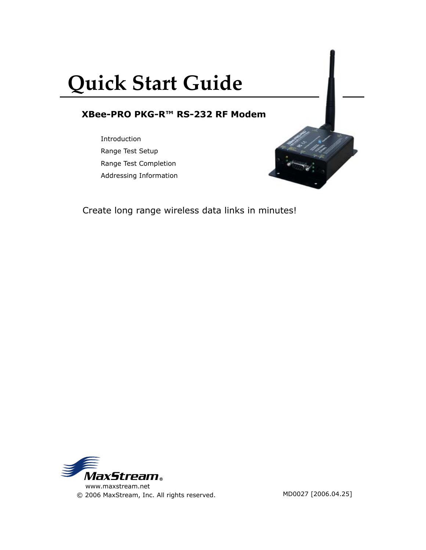# **Quick Start Guide**

# **XBee-PRO PKG-R™ RS-232 RF Modem**

Introduction Range Test Setup Range Test Completion Addressing Information



Create long range wireless data links in minutes!

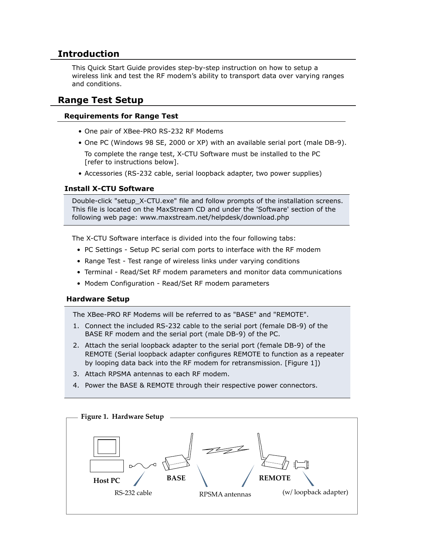## **Introduction**

This Quick Start Guide provides step-by-step instruction on how to setup a wireless link and test the RF modem's ability to transport data over varying ranges and conditions.

### **Range Test Setup**

#### **Requirements for Range Test**

- One pair of XBee-PRO RS-232 RF Modems
- One PC (Windows 98 SE, 2000 or XP) with an available serial port (male DB-9).

 To complete the range test, X-CTU Software must be installed to the PC [refer to instructions below].

• Accessories (RS-232 cable, serial loopback adapter, two power supplies)

#### **Install X-CTU Software**

Double-click "setup\_X-CTU.exe" file and follow prompts of the installation screens. This file is located on the MaxStream CD and under the 'Software' section of the following web page: www.maxstream.net/helpdesk/download.php

The X-CTU Software interface is divided into the four following tabs:

- PC Settings Setup PC serial com ports to interface with the RF modem
- Range Test Test range of wireless links under varying conditions
- Terminal Read/Set RF modem parameters and monitor data communications
- Modem Configuration Read/Set RF modem parameters

#### **Hardware Setup**

The XBee-PRO RF Modems will be referred to as "BASE" and "REMOTE".

- 1. Connect the included RS-232 cable to the serial port (female DB-9) of the BASE RF modem and the serial port (male DB-9) of the PC.
- 2. Attach the serial loopback adapter to the serial port (female DB-9) of the REMOTE (Serial loopback adapter configures REMOTE to function as a repeater by looping data back into the RF modem for retransmission. [Figure 1])
- 3. Attach RPSMA antennas to each RF modem.
- 4. Power the BASE & REMOTE through their respective power connectors.

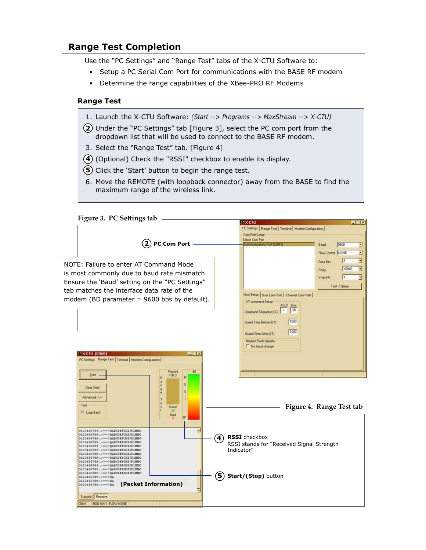## **Range Test Completion**

Use the "PC Settings" and "Range Test" tabs of the X-CTU Software to:

- Setup a PC Serial Com Port for communications with the BASE RF modem
- Determine the range capabilities of the XBee-PRO RF Modems

#### **Range Test**

- 1. Launch the X-CTU Software: *(Start --> Programs --> MaxStream --> X-CTU)*
- Under the "PC Settings" tab [Figure 3], select the PC com port from the **2** dropdown list that will be used to connect to the BASE RF modem.
- 3. Select the "Range Test" tab. [Figure 4]
- (Optional) Check the "RSSI" checkbox to enable its display. **4**
- (5) Click the 'Start' button to begin the range test.
- 6. Move the REMOTE (with loopback connector) away from the BASE to find the maximum range of the wireless link.